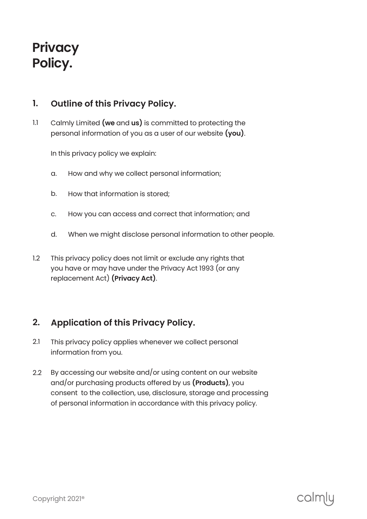# **Privacy Policy.**

### **Outline of this Privacy Policy. 1.**

Calmly Limited **( we** and **us )** is committed to protecting the personal information of you as a user of our website **( you )**. 1.1

In this privacy policy we explain:

- How and why we collect personal information; a.
- How that information is stored; b.
- How you can access and correct that information; and c.
- When we might disclose personal information to other people. d.
- This privacy policy does not limit or exclude any rights that you have or may have under the Privacy Act 1993 (or any replacement Act) **( Privacy Act )**. 1.2

## **Application of this Privacy Policy. 2.**

- This privacy policy applies whenever we collect personal information from you. 2.1
- By accessing our website and/or using content on our website and/or purchasing products offered by us **( Products )**, you consent to the collection, use, disclosure, storage and processing of personal information in accordance with this privacy policy. 2.2

# calmlu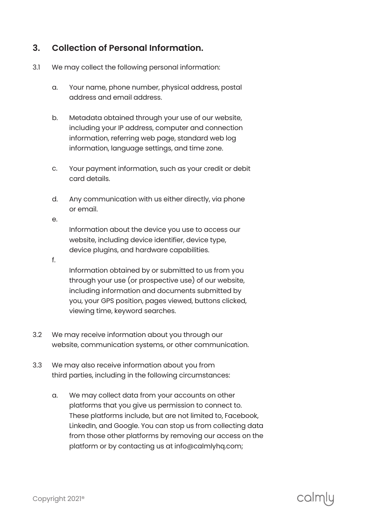## **Collection of Personal Information. 3.**

- We may collect the following personal information: 3.1
	- Your name, phone number, physical address, postal address and email address. a.
	- Metadata obtained through your use of our website, including your IP address, computer and connection information, referring web page, standard web log information, language settings, and time zone. b.
	- Your payment information, such as your credit or debit card details. c.
	- Any communication with us either directly, via phone or email. d.

Information about the device you use to access our website, including device identifier, device type, device plugins, and hardware capabilities.

f.

e.

Information obtained by or submitted to us from you through your use (or prospective use) of our website, including information and documents submitted by you, your GPS position, pages viewed, buttons clicked, viewing time, keyword searches.

- We may receive information about you through our website, communication systems, or other communication. 3.2
- We may also receive information about you from third parties, including in the following circumstances: 3.3
	- We may collect data from your accounts on other platforms that you give us permission to connect to. These platforms include, but are not limited to, Facebook, LinkedIn, and Google. You can stop us from collecting data from those other platforms by removing our access on the platform or by contacting us at info@calmlyhq.com; a.

# calmlu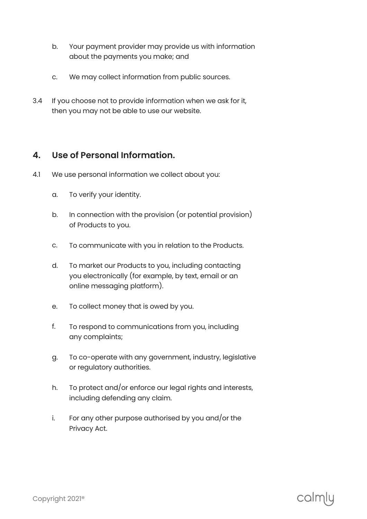- Your payment provider may provide us with information about the payments you make; and b.
- We may collect information from public sources. c.
- If you choose not to provide information when we ask for it, then you may not be able to use our website. 3.4

### **4. Use of Personal Information.**

- 4.1 We use personal information we collect about you:
	- To verify your identity. a.
	- In connection with the provision (or potential provision) of Products to you. b.
	- To communicate with you in relation to the Products. c.
	- To market our Products to you, including contacting you electronically (for example, by text, email or an online messaging platform). d.
	- To collect money that is owed by you. e.
	- To respond to communications from you, including any complaints; f.
	- To co-operate with any government, industry, legislative or regulatory authorities. g.
	- To protect and/or enforce our legal rights and interests, including defending any claim. h.
	- For any other purpose authorised by you and/or the Privacy Act. i.

# calmly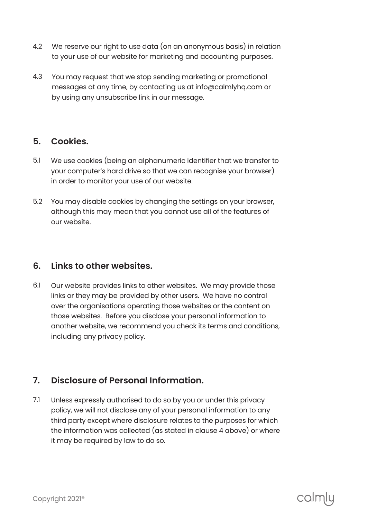- We reserve our right to use data (on an anonymous basis) in relation to your use of our website for marketing and accounting purposes. 4.2
- You may request that we stop sending marketing or promotional messages at any time, by contacting us at info@calmlyhq.com or by using any unsubscribe link in our message. 4.3

#### **Cookies. 5.**

- We use cookies (being an alphanumeric identifier that we transfer to your computer's hard drive so that we can recognise your browser) in order to monitor your use of our website. 5.1
- You may disable cookies by changing the settings on your browser, although this may mean that you cannot use all of the features of our website. 5.2

#### **Links to other websites. 6.**

Our website provides links to other websites. We may provide those links or they may be provided by other users. We have no control over the organisations operating those websites or the content on those websites. Before you disclose your personal information to another website, we recommend you check its terms and conditions, including any privacy policy. 6.1

## **Disclosure of Personal Information. 7.**

Unless expressly authorised to do so by you or under this privacy policy, we will not disclose any of your personal information to any third party except where disclosure relates to the purposes for which the information was collected (as stated in clause 4 above) or where it may be required by law to do so. 7.1

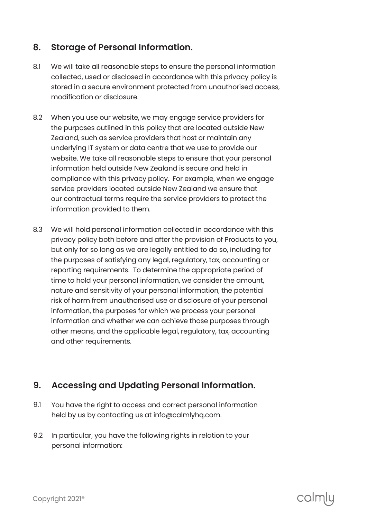## **Storage of Personal Information. 8.**

- We will take all reasonable steps to ensure the personal information collected, used or disclosed in accordance with this privacy policy is stored in a secure environment protected from unauthorised access, modification or disclosure. 8.1
- When you use our website, we may engage service providers for the purposes outlined in this policy that are located outside New Zealand, such as service providers that host or maintain any underlying IT system or data centre that we use to provide our website. We take all reasonable steps to ensure that your personal information held outside New Zealand is secure and held in compliance with this privacy policy. For example, when we engage service providers located outside New Zealand we ensure that our contractual terms require the service providers to protect the information provided to them. 8.2
- We will hold personal information collected in accordance with this privacy policy both before and after the provision of Products to you, but only for so long as we are legally entitled to do so, including for the purposes of satisfying any legal, regulatory, tax, accounting or reporting requirements. To determine the appropriate period of time to hold your personal information, we consider the amount, nature and sensitivity of your personal information, the potential risk of harm from unauthorised use or disclosure of your personal information, the purposes for which we process your personal information and whether we can achieve those purposes through other means, and the applicable legal, regulatory, tax, accounting and other requirements. 8.3

## **Accessing and Updating Personal Information. 9.**

- You have the right to access and correct personal information held by us by contacting us at info@calmlyhq.com. 9.1
- In particular, you have the following rights in relation to your personal information: 9.2

calmlu